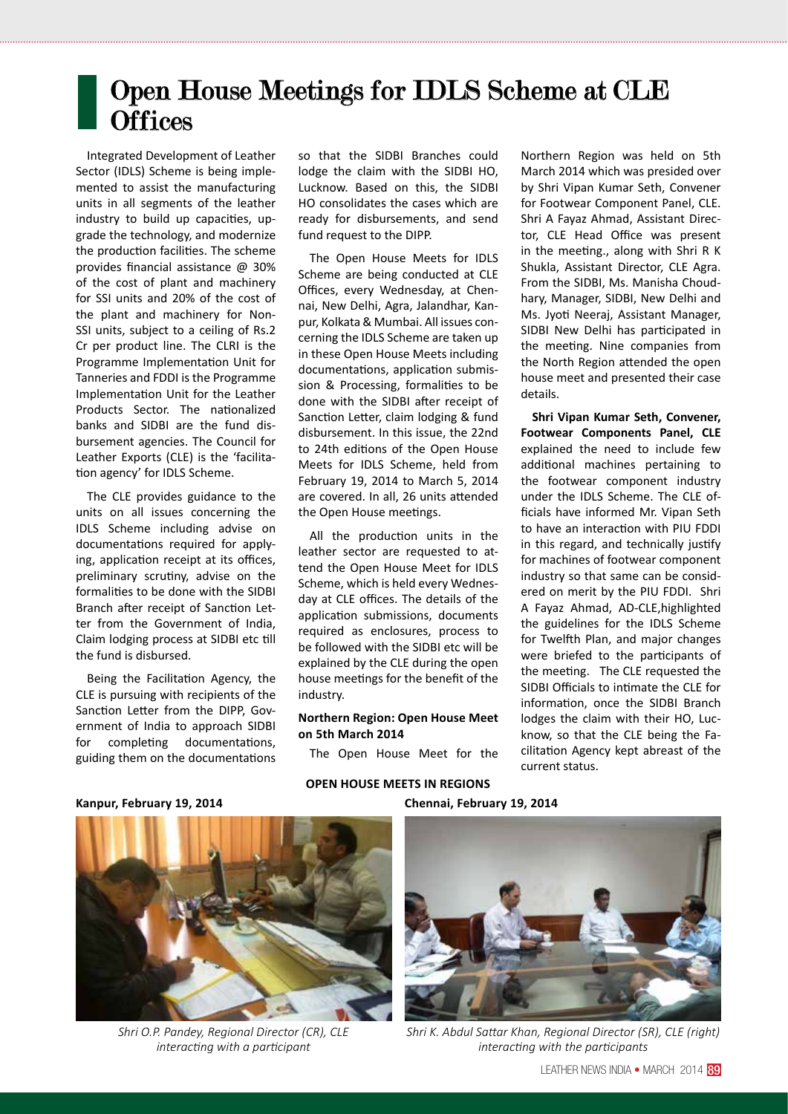## Open House Meetings for IDLS Scheme at CLE **Offices**

Integrated Development of Leather Sector (IDLS) Scheme is being implemented to assist the manufacturing units in all segments of the leather industry to build up capacities, upgrade the technology, and modernize the production facilities. The scheme provides financial assistance @ 30% of the cost of plant and machinery for SSI units and 20% of the cost of the plant and machinery for Non-SSI units, subject to a ceiling of Rs.2 Cr per product line. The CLRI is the Programme Implementation Unit for Tanneries and FDDI is the Programme Implementation Unit for the Leather Products Sector. The nationalized banks and SIDBI are the fund disbursement agencies. The Council for Leather Exports (CLE) is the 'facilitation agency' for IDLS Scheme.

The CLE provides guidance to the units on all issues concerning the IDLS Scheme including advise on documentations required for applying, application receipt at its offices, preliminary scrutiny, advise on the formalities to be done with the SIDBI Branch after receipt of Sanction Letter from the Government of India, Claim lodging process at SIDBI etc till the fund is disbursed.

Being the Facilitation Agency, the CLE is pursuing with recipients of the Sanction Letter from the DIPP, Government of India to approach SIDBI for completing documentations, guiding them on the documentations so that the SIDBI Branches could lodge the claim with the SIDBI HO, Lucknow. Based on this, the SIDBI HO consolidates the cases which are ready for disbursements, and send fund request to the DIPP.

The Open House Meets for IDLS Scheme are being conducted at CLE Offices, every Wednesday, at Chennai, New Delhi, Agra, Jalandhar, Kanpur, Kolkata & Mumbai. All issues concerning the IDLS Scheme are taken up in these Open House Meets including documentations, application submission & Processing, formalities to be done with the SIDBI after receipt of Sanction Letter, claim lodging & fund disbursement. In this issue, the 22nd to 24th editions of the Open House Meets for IDLS Scheme, held from February 19, 2014 to March 5, 2014 are covered. In all, 26 units attended the Open House meetings.

All the production units in the leather sector are requested to attend the Open House Meet for IDLS Scheme, which is held every Wednesday at CLE offices. The details of the application submissions, documents required as enclosures, process to be followed with the SIDBI etc will be explained by the CLE during the open house meetings for the benefit of the industry.

## **Northern Region: Open House Meet on 5th March 2014**

The Open House Meet for the

Northern Region was held on 5th March 2014 which was presided over by Shri Vipan Kumar Seth, Convener for Footwear Component Panel, CLE. Shri A Fayaz Ahmad, Assistant Director, CLE Head Office was present in the meeting., along with Shri R K Shukla, Assistant Director, CLE Agra. From the SIDBI, Ms. Manisha Choudhary, Manager, SIDBI, New Delhi and Ms. Jyoti Neeraj, Assistant Manager, SIDBI New Delhi has participated in the meeting. Nine companies from the North Region attended the open house meet and presented their case details.

**Shri Vipan Kumar Seth, Convener, Footwear Components Panel, CLE** explained the need to include few additional machines pertaining to the footwear component industry under the IDLS Scheme. The CLE officials have informed Mr. Vipan Seth to have an interaction with PIU FDDI in this regard, and technically justify for machines of footwear component industry so that same can be considered on merit by the PIU FDDI. Shri A Fayaz Ahmad, AD-CLE,highlighted the guidelines for the IDLS Scheme for Twelfth Plan, and major changes were briefed to the participants of the meeting. The CLE requested the SIDBI Officials to intimate the CLE for information, once the SIDBI Branch lodges the claim with their HO, Lucknow, so that the CLE being the Facilitation Agency kept abreast of the current status.

**OPEN HOUSE MEETS IN REGIONS Kanpur, February 19, 2014 Chennai, February 19, 2014**



*Shri O.P. Pandey, Regional Director (CR), CLE interacting with a participant*



*Shri K. Abdul Sattar Khan, Regional Director (SR), CLE (right) interacting with the participants*